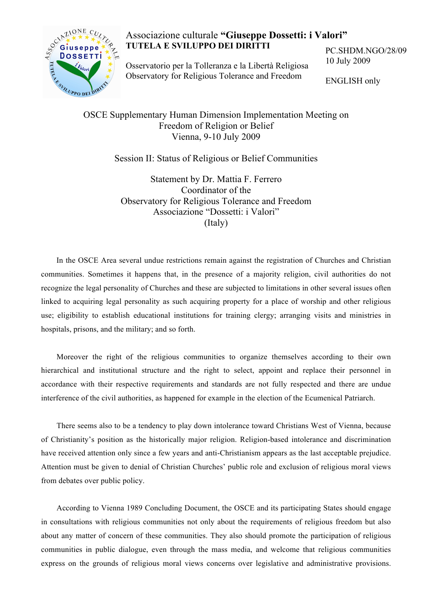

## Associazione culturale **"Giuseppe Dossetti: i Valori" TUTELA E SVILUPPO DEI DIRITTI**

Osservatorio per la Tolleranza e la Libertà Religiosa Observatory for Religious Tolerance and Freedom

PC.SHDM.NGO/28/09 10 July 2009

ENGLISH only

## Freedom of Religion or Belief Vienna, 9-10 July 2009

Session II: Status of Religious or Belief Communities

Statement by Dr. Mattia F. Ferrero Coordinator of the Observatory for Religious Tolerance and Freedom Associazione "Dossetti: i Valori" (Italy)

In the OSCE Area several undue restrictions remain against the registration of Churches and Christian communities. Sometimes it happens that, in the presence of a majority religion, civil authorities do not recognize the legal personality of Churches and these are subjected to limitations in other several issues often linked to acquiring legal personality as such acquiring property for a place of worship and other religious use; eligibility to establish educational institutions for training clergy; arranging visits and ministries in hospitals, prisons, and the military; and so forth.

Moreover the right of the religious communities to organize themselves according to their own hierarchical and institutional structure and the right to select, appoint and replace their personnel in accordance with their respective requirements and standards are not fully respected and there are undue interference of the civil authorities, as happened for example in the election of the Ecumenical Patriarch.

There seems also to be a tendency to play down intolerance toward Christians West of Vienna, because of Christianity's position as the historically major religion. Religion-based intolerance and discrimination have received attention only since a few years and anti-Christianism appears as the last acceptable prejudice. Attention must be given to denial of Christian Churches' public role and exclusion of religious moral views from debates over public policy.

According to Vienna 1989 Concluding Document, the OSCE and its participating States should engage in consultations with religious communities not only about the requirements of religious freedom but also about any matter of concern of these communities. They also should promote the participation of religious communities in public dialogue, even through the mass media, and welcome that religious communities express on the grounds of religious moral views concerns over legislative and administrative provisions.